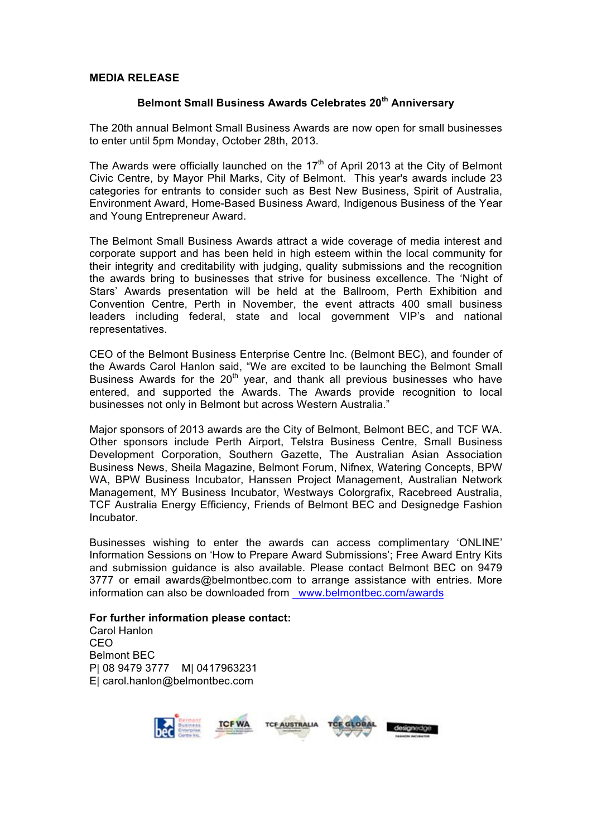#### **MEDIA RELEASE**

# **Belmont Small Business Awards Celebrates 20th Anniversary**

The 20th annual Belmont Small Business Awards are now open for small businesses to enter until 5pm Monday, October 28th, 2013.

The Awards were officially launched on the  $17<sup>th</sup>$  of April 2013 at the City of Belmont Civic Centre, by Mayor Phil Marks, City of Belmont. This year's awards include 23 categories for entrants to consider such as Best New Business, Spirit of Australia, Environment Award, Home-Based Business Award, Indigenous Business of the Year and Young Entrepreneur Award.

The Belmont Small Business Awards attract a wide coverage of media interest and corporate support and has been held in high esteem within the local community for their integrity and creditability with judging, quality submissions and the recognition the awards bring to businesses that strive for business excellence. The 'Night of Stars' Awards presentation will be held at the Ballroom, Perth Exhibition and Convention Centre, Perth in November, the event attracts 400 small business leaders including federal, state and local government VIP's and national representatives.

CEO of the Belmont Business Enterprise Centre Inc. (Belmont BEC), and founder of the Awards Carol Hanlon said, "We are excited to be launching the Belmont Small Business Awards for the  $20<sup>th</sup>$  year, and thank all previous businesses who have entered, and supported the Awards. The Awards provide recognition to local businesses not only in Belmont but across Western Australia."

Major sponsors of 2013 awards are the City of Belmont, Belmont BEC, and TCF WA. Other sponsors include Perth Airport, Telstra Business Centre, Small Business Development Corporation, Southern Gazette, The Australian Asian Association Business News, Sheila Magazine, Belmont Forum, Nifnex, Watering Concepts, BPW WA, BPW Business Incubator, Hanssen Project Management, Australian Network Management, MY Business Incubator, Westways Colorgrafix, Racebreed Australia, TCF Australia Energy Efficiency, Friends of Belmont BEC and Designedge Fashion Incubator.

Businesses wishing to enter the awards can access complimentary 'ONLINE' Information Sessions on 'How to Prepare Award Submissions'; Free Award Entry Kits and submission guidance is also available. Please contact Belmont BEC on 9479 3777 or email awards@belmontbec.com to arrange assistance with entries. More information can also be downloaded from www.belmontbec.com/awards

### **For further information please contact:**

Carol Hanlon CEO Belmont BEC P| 08 9479 3777 M| 0417963231 E| carol.hanlon@belmontbec.com